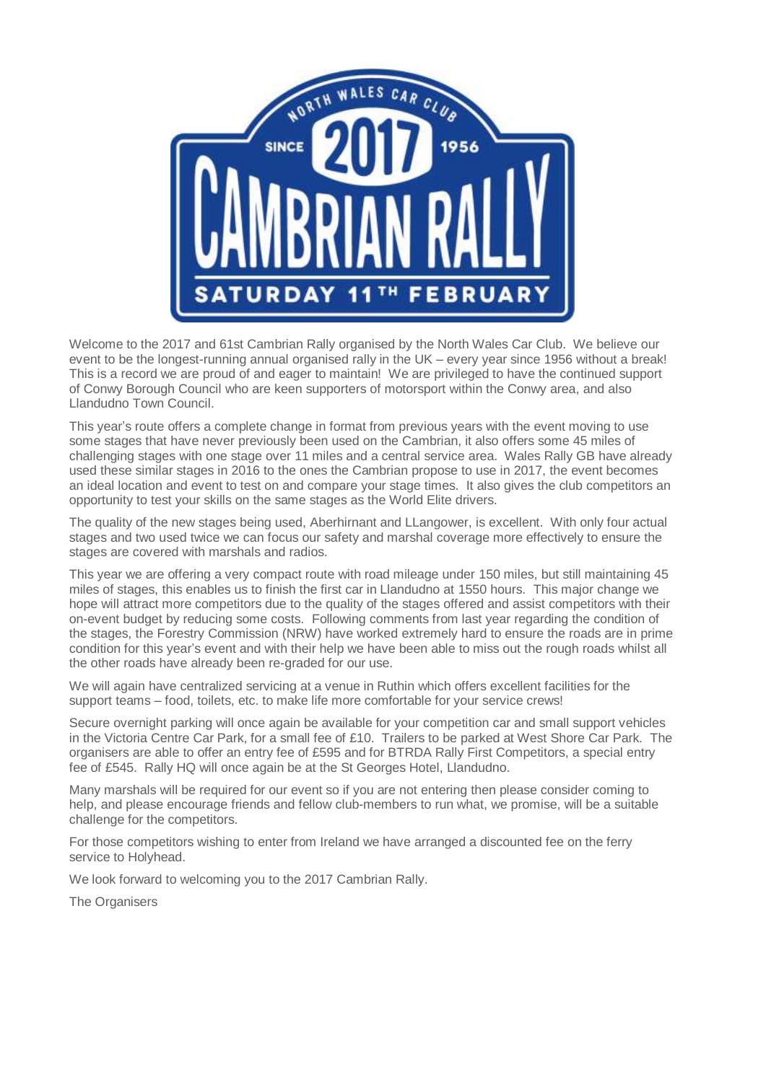

Welcome to the 2017 and 61st Cambrian Rally organised by the North Wales Car Club. We believe our event to be the longest-running annual organised rally in the UK – every year since 1956 without a break! This is a record we are proud of and eager to maintain! We are privileged to have the continued support of Conwy Borough Council who are keen supporters of motorsport within the Conwy area, and also Llandudno Town Council.

This year's route offers a complete change in format from previous years with the event moving to use some stages that have never previously been used on the Cambrian, it also offers some 45 miles of challenging stages with one stage over 11 miles and a central service area. Wales Rally GB have already used these similar stages in 2016 to the ones the Cambrian propose to use in 2017, the event becomes an ideal location and event to test on and compare your stage times. It also gives the club competitors an opportunity to test your skills on the same stages as the World Elite drivers.

The quality of the new stages being used, Aberhirnant and LLangower, is excellent. With only four actual stages and two used twice we can focus our safety and marshal coverage more effectively to ensure the stages are covered with marshals and radios.

This year we are offering a very compact route with road mileage under 150 miles, but still maintaining 45 miles of stages, this enables us to finish the first car in Llandudno at 1550 hours. This major change we hope will attract more competitors due to the quality of the stages offered and assist competitors with their on-event budget by reducing some costs. Following comments from last year regarding the condition of the stages, the Forestry Commission (NRW) have worked extremely hard to ensure the roads are in prime condition for this year's event and with their help we have been able to miss out the rough roads whilst all the other roads have already been re-graded for our use.

We will again have centralized servicing at a venue in Ruthin which offers excellent facilities for the support teams – food, toilets, etc. to make life more comfortable for your service crews!

Secure overnight parking will once again be available for your competition car and small support vehicles in the Victoria Centre Car Park, for a small fee of £10. Trailers to be parked at West Shore Car Park. The organisers are able to offer an entry fee of £595 and for BTRDA Rally First Competitors, a special entry fee of £545. Rally HQ will once again be at the St Georges Hotel, Llandudno.

Many marshals will be required for our event so if you are not entering then please consider coming to help, and please encourage friends and fellow club-members to run what, we promise, will be a suitable challenge for the competitors.

For those competitors wishing to enter from Ireland we have arranged a discounted fee on the ferry service to Holyhead.

We look forward to welcoming you to the 2017 Cambrian Rally.

The Organisers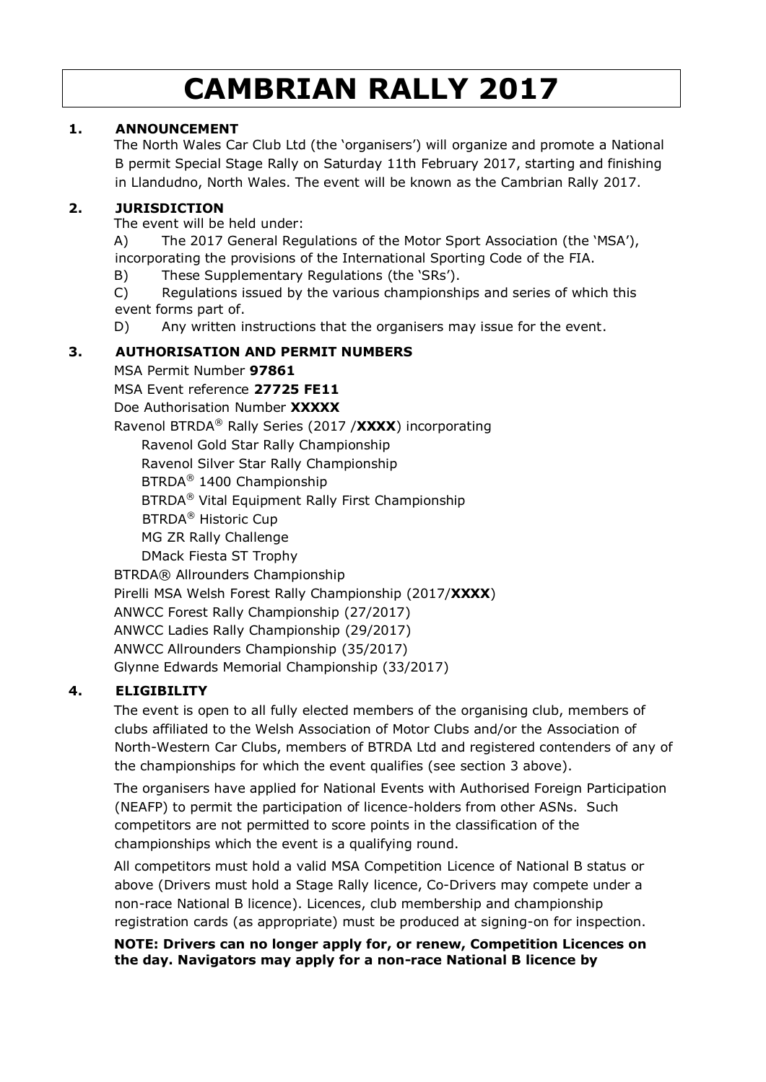# **CAMBRIAN RALLY 2017**

## **1. ANNOUNCEMENT**

The North Wales Car Club Ltd (the 'organisers') will organize and promote a National B permit Special Stage Rally on Saturday 11th February 2017, starting and finishing in Llandudno, North Wales. The event will be known as the Cambrian Rally 2017.

## **2. JURISDICTION**

The event will be held under:

A) The 2017 General Regulations of the Motor Sport Association (the 'MSA'), incorporating the provisions of the International Sporting Code of the FIA.

B) These Supplementary Regulations (the 'SRs').

C) Regulations issued by the various championships and series of which this event forms part of.

D) Any written instructions that the organisers may issue for the event.

## **3. AUTHORISATION AND PERMIT NUMBERS**

MSA Permit Number **97861**

MSA Event reference **27725 FE11**

Doe Authorisation Number **XXXXX**

Ravenol BTRDA® Rally Series (2017 /**XXXX**) incorporating

Ravenol Gold Star Rally Championship Ravenol Silver Star Rally Championship BTRDA® 1400 Championship BTRDA® Vital Equipment Rally First Championship BTRDA® Historic Cup MG ZR Rally Challenge DMack Fiesta ST Trophy BTRDA® Allrounders Championship Pirelli MSA Welsh Forest Rally Championship (2017/**XXXX**) ANWCC Forest Rally Championship (27/2017) ANWCC Ladies Rally Championship (29/2017)

ANWCC Allrounders Championship (35/2017)

Glynne Edwards Memorial Championship (33/2017)

## **4. ELIGIBILITY**

The event is open to all fully elected members of the organising club, members of clubs affiliated to the Welsh Association of Motor Clubs and/or the Association of North-Western Car Clubs, members of BTRDA Ltd and registered contenders of any of the championships for which the event qualifies (see section 3 above).

The organisers have applied for National Events with Authorised Foreign Participation (NEAFP) to permit the participation of licence-holders from other ASNs. Such competitors are not permitted to score points in the classification of the championships which the event is a qualifying round.

All competitors must hold a valid MSA Competition Licence of National B status or above (Drivers must hold a Stage Rally licence, Co-Drivers may compete under a non-race National B licence). Licences, club membership and championship registration cards (as appropriate) must be produced at signing-on for inspection.

#### **NOTE: Drivers can no longer apply for, or renew, Competition Licences on the day. Navigators may apply for a non-race National B licence by**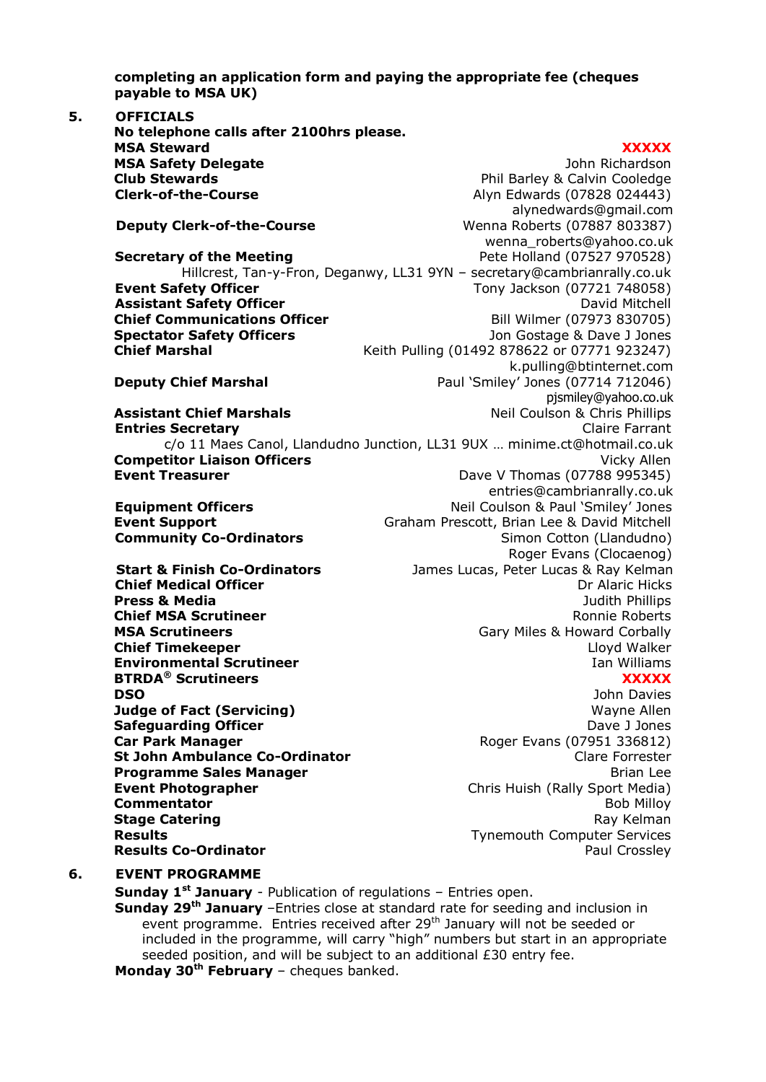**completing an application form and paying the appropriate fee (cheques payable to MSA UK)** 

**5. OFFICIALS No telephone calls after 2100hrs please. MSA Steward XXXXX MSA Safety Delegate John Richardson John Richardson Club Stewards Phil Barley & Calvin Cooledge Clerk-of-the-Course Alyn Edwards (07828 024443)** [alynedwards@gmail.com](mailto:alynedwards@gmail.com) **Deputy Clerk-of-the-Course** Wenna Roberts (07887 803387) wenna\_roberts@yahoo.co.uk **Secretary of the Meeting Secretary of the Meeting Secretary Arrow Pete Holland (07527 970528)** Hillcrest, Tan-y-Fron, Deganwy, LL31 9YN – secretary@cambrianrally.co.uk **Event Safety Officer** Tony Jackson (07721 748058) **Assistant Safety Officer**<br> **Chief Communications Officer** Bill Wilmer (07973 830705) **Chief Communications Officer Spectator Safety Officers Superior Safety Officers Jones** Jon Gostage & Dave J Jones **Chief Marshal** Keith Pulling (01492 878622 or 07771 923247) [k.pulling@btinternet.com](mailto:k.pulling@btinternet.com) **Deputy Chief Marshal Paul 'Smiley' Jones (07714 712046)** pjsmiley@yahoo.co.uk **Assistant Chief Marshals Neil Coulson & Chris Phillips Entries Secretary Claire Farrant** c/o 11 Maes Canol, Llandudno Junction, LL31 9UX … minime.ct@hotmail.co.uk **Competitor Liaison Officers** and the computation of the Vicky Allen **Event Treasurer Dave V Thomas (07788 995345)** entries@cambrianrally.co.uk **Equipment Officers Equipment Officers Neil Coulson & Paul 'Smiley' Jones Event Support Graham Prescott, Brian Lee & David Mitchell Community Co-Ordinators Simon Cotton (Llandudno)** Roger Evans (Clocaenog) **Start & Finish Co-Ordinators** James Lucas, Peter Lucas & Ray Kelman **Chief Medical Officer Dr Alaric Hicks Press & Media Press & Media Judith Phillips Chief MSA Scrutineer Roman Chief MSA Scrutineer Roman Chief MSA Scrutineer Roman Chief MSA Scrutineer MSA Scrutineers MSA Scrutineers Gary Miles & Howard Corbally Chief Timekeeper Leap Act 2018 12:30 Act 20:30 Act 20:30 Act 20:30 Act 20:30 Act 20:30 Act 20:30 Act 20:30 Act 20:30 Act 20:30 Act 20:30 Act 20:30 Act 20:30 Act 20:30 Act 20:30 Act 20:30 Act 20:30 Act 20:30 Act 20:30 Ac Environmental Scrutineer Internal Scrutineer Internal Scrutineer Ian Williams BTRDA® Scrutineers XXXXX DSO DSO DSO John Davies DSO DSO John Davies John Davies John Davies Judge of Fact (Servicing)** May be a set of the Mayne Allen **Safeguarding Officer Dave J Jones** Dave J Jones **Car Park Manager Car Park Manager Roger Evans (07951 336812) St John Ambulance Co-Ordinator** Communication Clare Forrester **Programme Sales Manager** Brian Lee and Brian Lee and Brian Lee and Brian Lee and Brian Lee and Brian Lee and Brian Lee and Brian Lee and Brian Lee and Brian Lee and Brian Lee and Brian Lee and Brian Lee and Brian Lee and **Event Photographer Chris Huish (Rally Sport Media) Commentator** Bob Milloy **Stage Catering** Ray Kelman Ray Kelman Ray Kelman Ray Kelman Ray Kelman Ray Kelman **Results** Tynemouth Computer Services **Results Co-Ordinator Paul Crossley Paul Crossley 6. EVENT PROGRAMME**

**Sunday 1st January** - Publication of regulations – Entries open. **Sunday 29th January** –Entries close at standard rate for seeding and inclusion in event programme. Entries received after 29<sup>th</sup> January will not be seeded or included in the programme, will carry "high" numbers but start in an appropriate seeded position, and will be subject to an additional £30 entry fee.

**Monday 30th February** – cheques banked.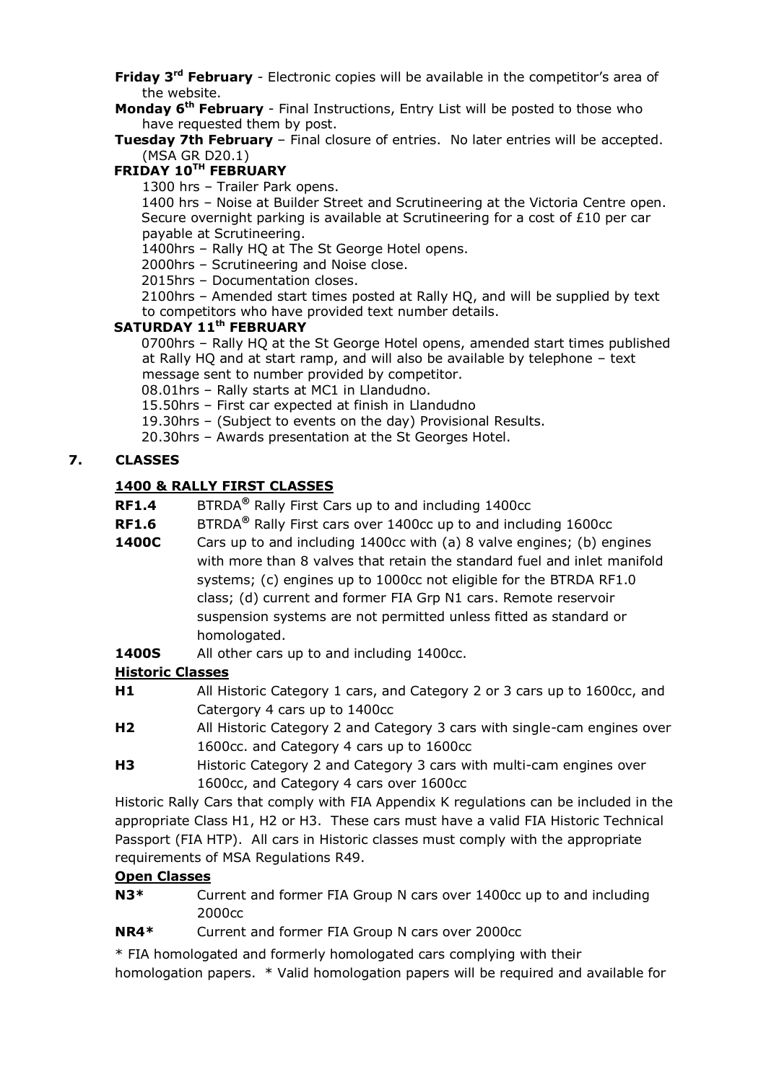- **Friday 3rd February** Electronic copies will be available in the competitor's area of the website.
- **Monday 6th February** Final Instructions, Entry List will be posted to those who have requested them by post.
- **Tuesday 7th February** Final closure of entries. No later entries will be accepted. (MSA GR D20.1)

## **FRIDAY 10 TH FEBRUARY**

1300 hrs – Trailer Park opens.

1400 hrs – Noise at Builder Street and Scrutineering at the Victoria Centre open. Secure overnight parking is available at Scrutineering for a cost of £10 per car payable at Scrutineering.

1400hrs – Rally HQ at The St George Hotel opens.

- 2000hrs Scrutineering and Noise close.
- 2015hrs Documentation closes.

2100hrs – Amended start times posted at Rally HQ, and will be supplied by text to competitors who have provided text number details.

## **SATURDAY 11 th FEBRUARY**

0700hrs – Rally HQ at the St George Hotel opens, amended start times published at Rally HQ and at start ramp, and will also be available by telephone – text message sent to number provided by competitor.

08.01hrs – Rally starts at MC1 in Llandudno.

15.50hrs – First car expected at finish in Llandudno

19.30hrs – (Subject to events on the day) Provisional Results.

20.30hrs – Awards presentation at the St Georges Hotel.

## **7. CLASSES**

## **1400 & RALLY FIRST CLASSES**

- **RF1.4** BTRDA**®** Rally First Cars up to and including 1400cc
- **RF1.6** BTRDA**®** Rally First cars over 1400cc up to and including 1600cc
- **1400C** Cars up to and including 1400cc with (a) 8 valve engines; (b) engines with more than 8 valves that retain the standard fuel and inlet manifold systems; (c) engines up to 1000cc not eligible for the BTRDA RF1.0 class; (d) current and former FIA Grp N1 cars. Remote reservoir suspension systems are not permitted unless fitted as standard or homologated.
- **1400S** All other cars up to and including 1400cc.

## **Historic Classes**

- **H1** All Historic Category 1 cars, and Category 2 or 3 cars up to 1600cc, and Catergory 4 cars up to 1400cc
- **H2** All Historic Category 2 and Category 3 cars with single-cam engines over 1600cc. and Category 4 cars up to 1600cc
- **H3** Historic Category 2 and Category 3 cars with multi-cam engines over 1600cc, and Category 4 cars over 1600cc

Historic Rally Cars that comply with FIA Appendix K regulations can be included in the appropriate Class H1, H2 or H3. These cars must have a valid FIA Historic Technical Passport (FIA HTP). All cars in Historic classes must comply with the appropriate requirements of MSA Regulations R49.

## **Open Classes**

**N3\*** Current and former FIA Group N cars over 1400cc up to and including 2000cc

**NR4\*** Current and former FIA Group N cars over 2000cc

\* FIA homologated and formerly homologated cars complying with their homologation papers. \* Valid homologation papers will be required and available for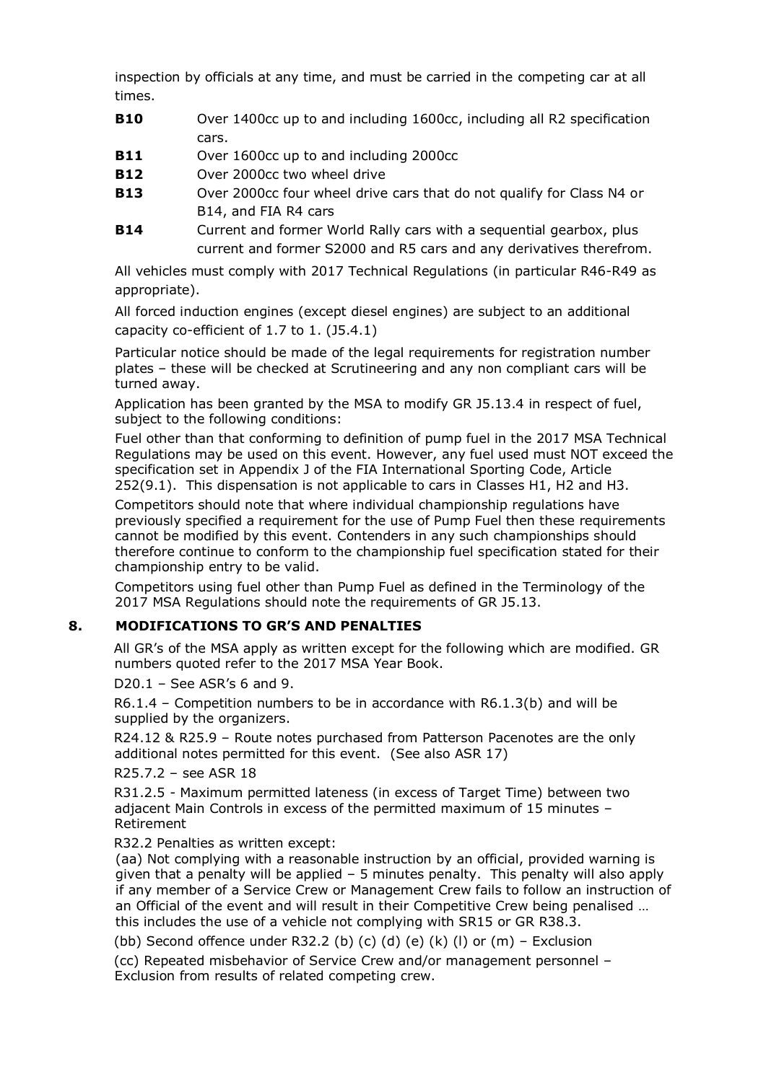inspection by officials at any time, and must be carried in the competing car at all times.

- **B10** Over 1400cc up to and including 1600cc, including all R2 specification cars.
- **B11** Over 1600cc up to and including 2000cc
- **B12** Over 2000cc two wheel drive
- **B13** Over 2000cc four wheel drive cars that do not qualify for Class N4 or B14, and FIA R4 cars
- **B14** Current and former World Rally cars with a sequential gearbox, plus current and former S2000 and R5 cars and any derivatives therefrom.

All vehicles must comply with 2017 Technical Regulations (in particular R46-R49 as appropriate).

All forced induction engines (except diesel engines) are subject to an additional capacity co-efficient of 1.7 to 1. (J5.4.1)

Particular notice should be made of the legal requirements for registration number plates – these will be checked at Scrutineering and any non compliant cars will be turned away.

Application has been granted by the MSA to modify GR J5.13.4 in respect of fuel, subject to the following conditions:

Fuel other than that conforming to definition of pump fuel in the 2017 MSA Technical Regulations may be used on this event. However, any fuel used must NOT exceed the specification set in Appendix J of the FIA International Sporting Code, Article 252(9.1). This dispensation is not applicable to cars in Classes H1, H2 and H3.

Competitors should note that where individual championship regulations have previously specified a requirement for the use of Pump Fuel then these requirements cannot be modified by this event. Contenders in any such championships should therefore continue to conform to the championship fuel specification stated for their championship entry to be valid.

Competitors using fuel other than Pump Fuel as defined in the Terminology of the 2017 MSA Regulations should note the requirements of GR J5.13.

## **8. MODIFICATIONS TO GR'S AND PENALTIES**

All GR's of the MSA apply as written except for the following which are modified. GR numbers quoted refer to the 2017 MSA Year Book.

D20.1 – See ASR's 6 and 9.

R6.1.4 – Competition numbers to be in accordance with R6.1.3(b) and will be supplied by the organizers.

R24.12 & R25.9 – Route notes purchased from Patterson Pacenotes are the only additional notes permitted for this event. (See also ASR 17)

R25.7.2 – see ASR 18

R31.2.5 - Maximum permitted lateness (in excess of Target Time) between two adjacent Main Controls in excess of the permitted maximum of 15 minutes – Retirement

R32.2 Penalties as written except:

(aa) Not complying with a reasonable instruction by an official, provided warning is given that a penalty will be applied – 5 minutes penalty. This penalty will also apply if any member of a Service Crew or Management Crew fails to follow an instruction of an Official of the event and will result in their Competitive Crew being penalised … this includes the use of a vehicle not complying with SR15 or GR R38.3.

(bb) Second offence under R32.2 (b) (c) (d) (e) (k) (l) or  $(m)$  – Exclusion

(cc) Repeated misbehavior of Service Crew and/or management personnel – Exclusion from results of related competing crew.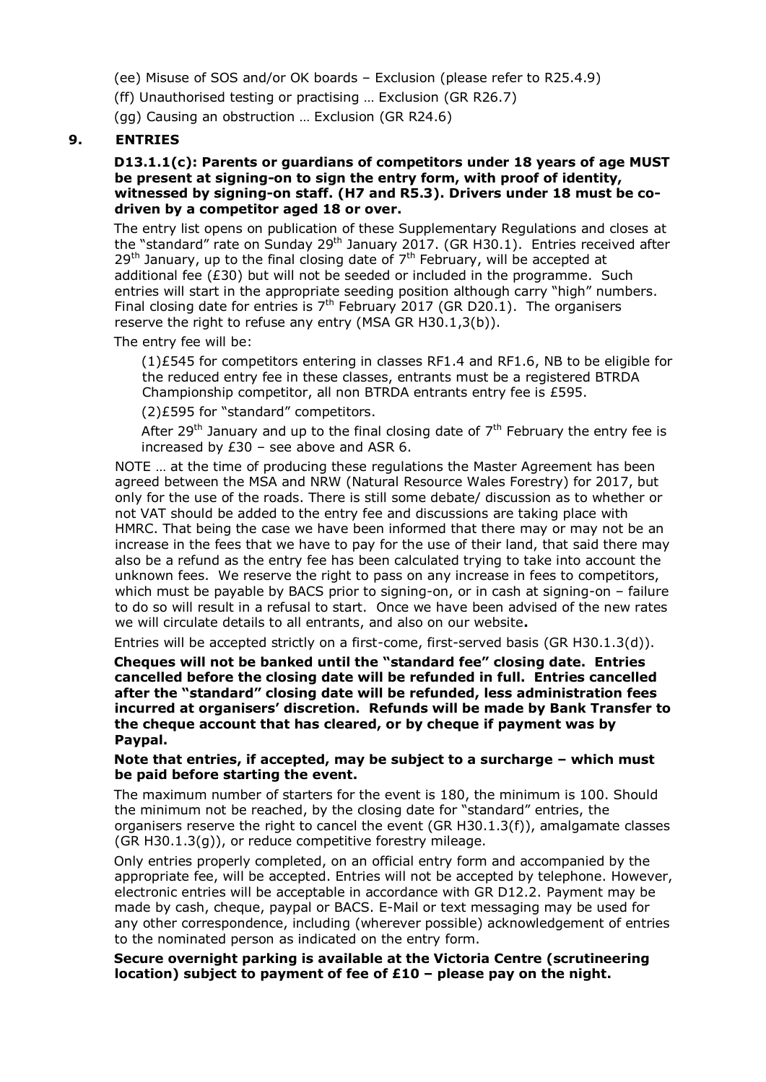(ee) Misuse of SOS and/or OK boards – Exclusion (please refer to R25.4.9)

(ff) Unauthorised testing or practising … Exclusion (GR R26.7)

(gg) Causing an obstruction … Exclusion (GR R24.6)

## **9. ENTRIES**

#### **D13.1.1(c): Parents or guardians of competitors under 18 years of age MUST be present at signing-on to sign the entry form, with proof of identity, witnessed by signing-on staff. (H7 and R5.3). Drivers under 18 must be codriven by a competitor aged 18 or over.**

The entry list opens on publication of these Supplementary Regulations and closes at the "standard" rate on Sunday 29<sup>th</sup> January 2017. (GR H30.1). Entries received after  $29<sup>th</sup>$  January, up to the final closing date of  $7<sup>th</sup>$  February, will be accepted at additional fee  $(E30)$  but will not be seeded or included in the programme. Such entries will start in the appropriate seeding position although carry "high" numbers. Final closing date for entries is  $7<sup>th</sup>$  February 2017 (GR D20.1). The organisers reserve the right to refuse any entry (MSA GR H30.1,3(b)).

The entry fee will be:

(1)£545 for competitors entering in classes RF1.4 and RF1.6, NB to be eligible for the reduced entry fee in these classes, entrants must be a registered BTRDA Championship competitor, all non BTRDA entrants entry fee is £595.

(2)£595 for "standard" competitors.

After 29<sup>th</sup> January and up to the final closing date of  $7<sup>th</sup>$  February the entry fee is increased by  $£30 -$  see above and ASR 6.

NOTE … at the time of producing these regulations the Master Agreement has been agreed between the MSA and NRW (Natural Resource Wales Forestry) for 2017, but only for the use of the roads. There is still some debate/ discussion as to whether or not VAT should be added to the entry fee and discussions are taking place with HMRC. That being the case we have been informed that there may or may not be an increase in the fees that we have to pay for the use of their land, that said there may also be a refund as the entry fee has been calculated trying to take into account the unknown fees. We reserve the right to pass on any increase in fees to competitors, which must be payable by BACS prior to signing-on, or in cash at signing-on – failure to do so will result in a refusal to start. Once we have been advised of the new rates we will circulate details to all entrants, and also on our website**.**

Entries will be accepted strictly on a first-come, first-served basis (GR H30.1.3(d)).

**Cheques will not be banked until the "standard fee" closing date. Entries cancelled before the closing date will be refunded in full. Entries cancelled after the "standard" closing date will be refunded, less administration fees incurred at organisers' discretion. Refunds will be made by Bank Transfer to the cheque account that has cleared, or by cheque if payment was by Paypal.**

#### **Note that entries, if accepted, may be subject to a surcharge – which must be paid before starting the event.**

The maximum number of starters for the event is 180, the minimum is 100. Should the minimum not be reached, by the closing date for "standard" entries, the organisers reserve the right to cancel the event (GR H30.1.3(f)), amalgamate classes (GR H30.1.3(g)), or reduce competitive forestry mileage.

Only entries properly completed, on an official entry form and accompanied by the appropriate fee, will be accepted. Entries will not be accepted by telephone. However, electronic entries will be acceptable in accordance with GR D12.2. Payment may be made by cash, cheque, paypal or BACS. E-Mail or text messaging may be used for any other correspondence, including (wherever possible) acknowledgement of entries to the nominated person as indicated on the entry form.

#### **Secure overnight parking is available at the Victoria Centre (scrutineering location) subject to payment of fee of £10 – please pay on the night.**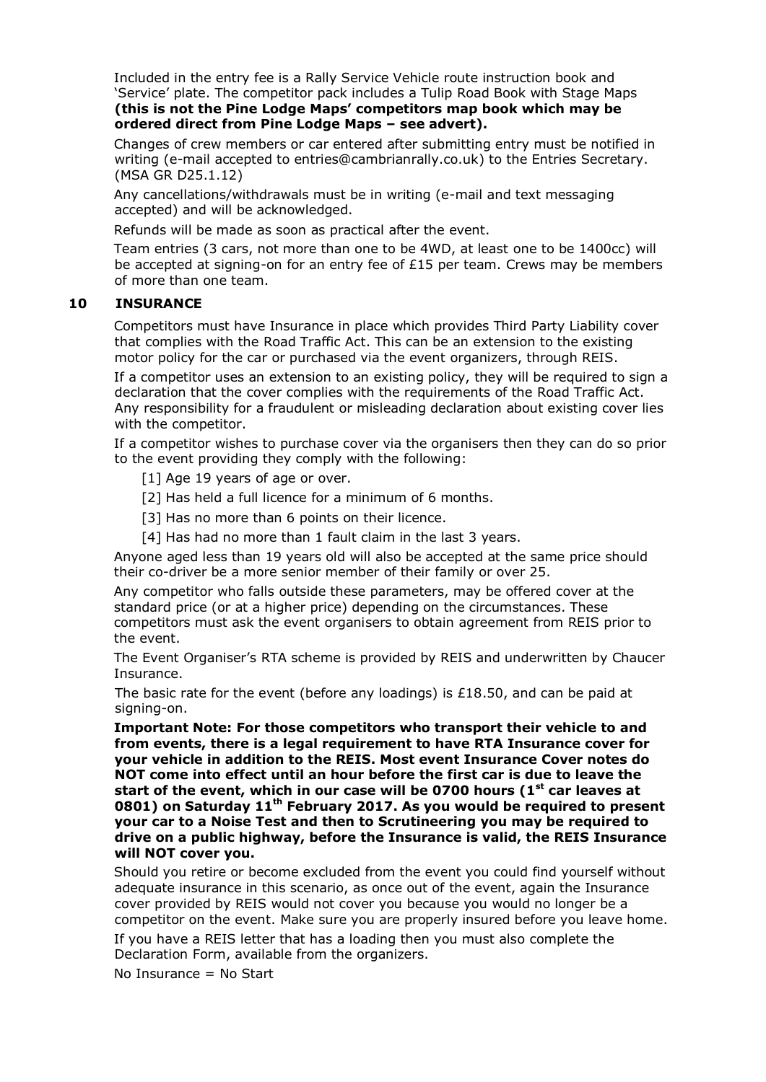Included in the entry fee is a Rally Service Vehicle route instruction book and 'Service' plate. The competitor pack includes a Tulip Road Book with Stage Maps **(this is not the Pine Lodge Maps' competitors map book which may be ordered direct from Pine Lodge Maps – see advert).**

Changes of crew members or car entered after submitting entry must be notified in writing (e-mail accepted to entries@cambrianrally.co.uk) to the Entries Secretary. (MSA GR D25.1.12)

Any cancellations/withdrawals must be in writing (e-mail and text messaging accepted) and will be acknowledged.

Refunds will be made as soon as practical after the event.

Team entries (3 cars, not more than one to be 4WD, at least one to be 1400cc) will be accepted at signing-on for an entry fee of  $£15$  per team. Crews may be members of more than one team.

#### **10 INSURANCE**

Competitors must have Insurance in place which provides Third Party Liability cover that complies with the Road Traffic Act. This can be an extension to the existing motor policy for the car or purchased via the event organizers, through REIS.

If a competitor uses an extension to an existing policy, they will be required to sign a declaration that the cover complies with the requirements of the Road Traffic Act. Any responsibility for a fraudulent or misleading declaration about existing cover lies with the competitor.

If a competitor wishes to purchase cover via the organisers then they can do so prior to the event providing they comply with the following:

[1] Age 19 years of age or over.

[2] Has held a full licence for a minimum of 6 months.

[3] Has no more than 6 points on their licence.

[4] Has had no more than 1 fault claim in the last 3 years.

Anyone aged less than 19 years old will also be accepted at the same price should their co-driver be a more senior member of their family or over 25.

Any competitor who falls outside these parameters, may be offered cover at the standard price (or at a higher price) depending on the circumstances. These competitors must ask the event organisers to obtain agreement from REIS prior to the event.

The Event Organiser's RTA scheme is provided by REIS and underwritten by Chaucer Insurance.

The basic rate for the event (before any loadings) is £18.50, and can be paid at signing-on.

**Important Note: For those competitors who transport their vehicle to and from events, there is a legal requirement to have RTA Insurance cover for your vehicle in addition to the REIS. Most event Insurance Cover notes do NOT come into effect until an hour before the first car is due to leave the start of the event, which in our case will be 0700 hours (1st car leaves at 0801) on Saturday 11 th February 2017. As you would be required to present your car to a Noise Test and then to Scrutineering you may be required to drive on a public highway, before the Insurance is valid, the REIS Insurance will NOT cover you.**

Should you retire or become excluded from the event you could find yourself without adequate insurance in this scenario, as once out of the event, again the Insurance cover provided by REIS would not cover you because you would no longer be a competitor on the event. Make sure you are properly insured before you leave home.

If you have a REIS letter that has a loading then you must also complete the Declaration Form, available from the organizers.

No Insurance = No Start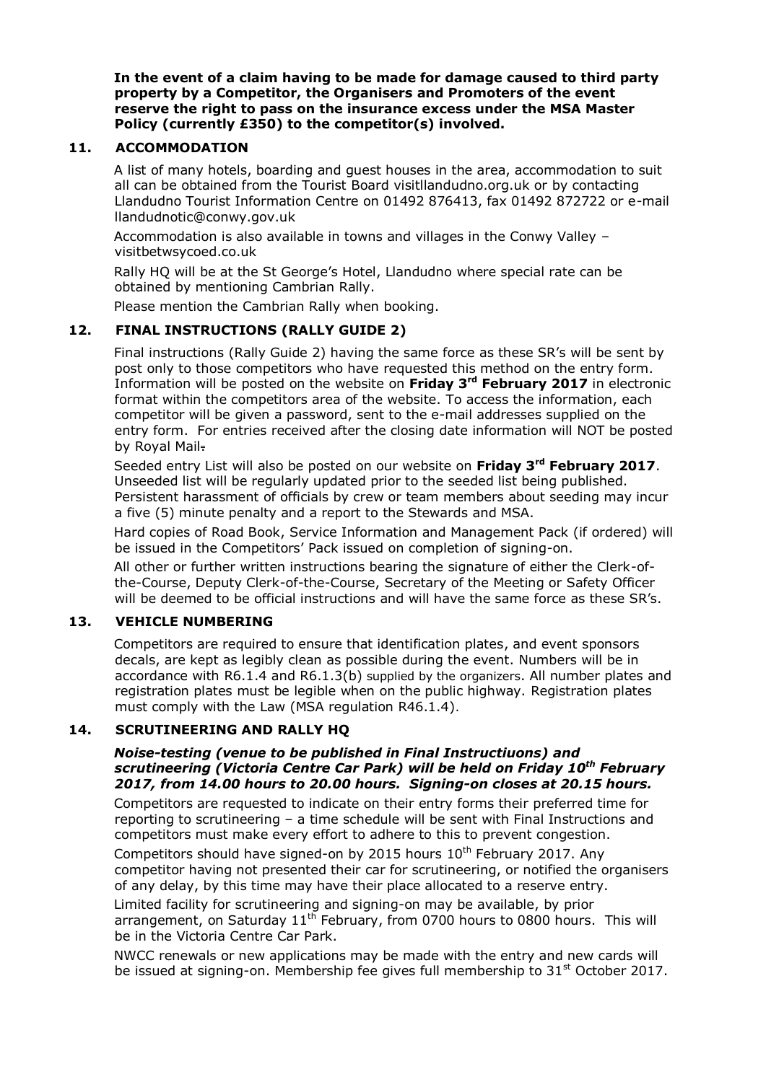**In the event of a claim having to be made for damage caused to third party property by a Competitor, the Organisers and Promoters of the event reserve the right to pass on the insurance excess under the MSA Master Policy (currently £350) to the competitor(s) involved.**

## **11. ACCOMMODATION**

A list of many hotels, boarding and guest houses in the area, accommodation to suit all can be obtained from the Tourist Board visitllandudno.org.uk or by contacting Llandudno Tourist Information Centre on 01492 876413, fax 01492 872722 or e-mail llandudnoti[c@conwy.gov.uk](mailto:bed.bookings@conwy.gov.uk)

Accommodation is also available in towns and villages in the Conwy Valley – visitbetwsycoed.co.uk

Rally HQ will be at the St George's Hotel, Llandudno where special rate can be obtained by mentioning Cambrian Rally.

Please mention the Cambrian Rally when booking.

## **12. FINAL INSTRUCTIONS (RALLY GUIDE 2)**

Final instructions (Rally Guide 2) having the same force as these SR's will be sent by post only to those competitors who have requested this method on the entry form. Information will be posted on the website on **Friday 3 rd February 2017** in electronic format within the competitors area of the website. To access the information, each competitor will be given a password, sent to the e-mail addresses supplied on the entry form. For entries received after the closing date information will NOT be posted by Royal Mail.

Seeded entry List will also be posted on our website on **Friday 3 rd February 2017**. Unseeded list will be regularly updated prior to the seeded list being published. Persistent harassment of officials by crew or team members about seeding may incur a five (5) minute penalty and a report to the Stewards and MSA.

Hard copies of Road Book, Service Information and Management Pack (if ordered) will be issued in the Competitors' Pack issued on completion of signing-on.

All other or further written instructions bearing the signature of either the Clerk-ofthe-Course, Deputy Clerk-of-the-Course, Secretary of the Meeting or Safety Officer will be deemed to be official instructions and will have the same force as these SR's.

## **13. VEHICLE NUMBERING**

Competitors are required to ensure that identification plates, and event sponsors decals, are kept as legibly clean as possible during the event. Numbers will be in accordance with R6.1.4 and R6.1.3(b) supplied by the organizers. All number plates and registration plates must be legible when on the public highway. Registration plates must comply with the Law (MSA regulation R46.1.4).

#### **14. SCRUTINEERING AND RALLY HQ**

#### *Noise-testing (venue to be published in Final Instructiuons) and scrutineering (Victoria Centre Car Park) will be held on Friday 10 th February 2017, from 14.00 hours to 20.00 hours. Signing-on closes at 20.15 hours.*

Competitors are requested to indicate on their entry forms their preferred time for reporting to scrutineering – a time schedule will be sent with Final Instructions and competitors must make every effort to adhere to this to prevent congestion.

Competitors should have signed-on by 2015 hours  $10<sup>th</sup>$  February 2017. Any competitor having not presented their car for scrutineering, or notified the organisers of any delay, by this time may have their place allocated to a reserve entry.

Limited facility for scrutineering and signing-on may be available, by prior arrangement, on Saturday  $11<sup>th</sup>$  February, from 0700 hours to 0800 hours. This will be in the Victoria Centre Car Park.

NWCC renewals or new applications may be made with the entry and new cards will be issued at signing-on. Membership fee gives full membership to  $31<sup>st</sup>$  October 2017.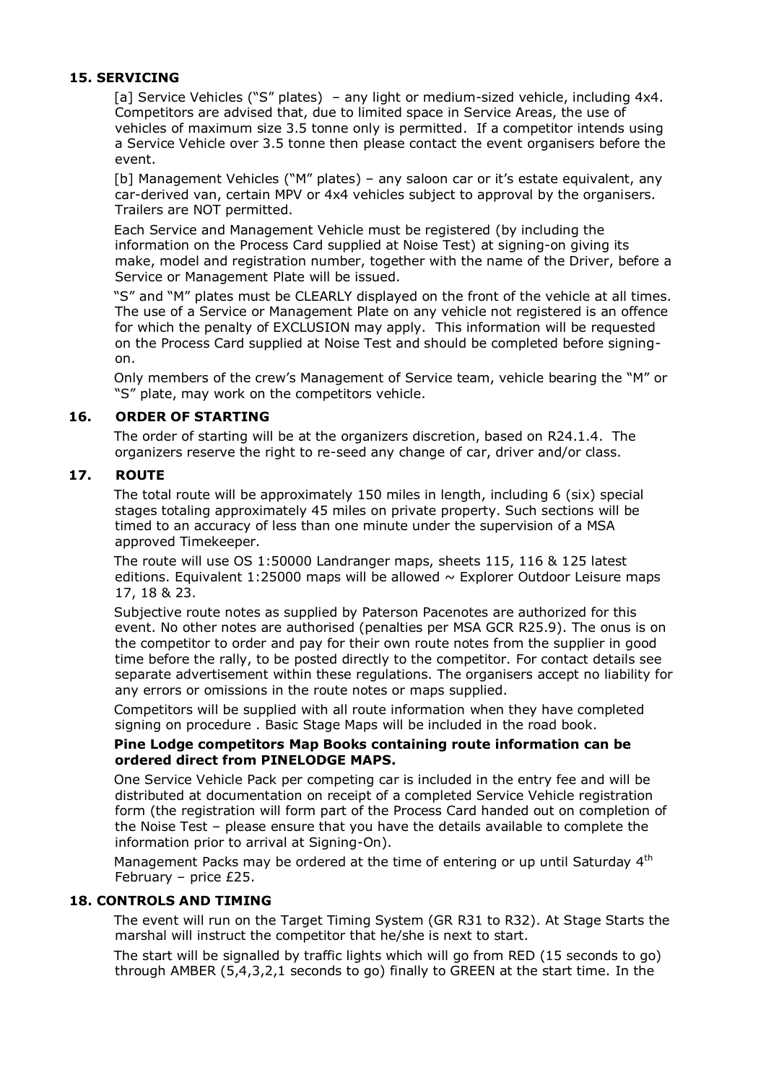## **15. SERVICING**

[a] Service Vehicles ("S" plates) – any light or medium-sized vehicle, including 4x4. Competitors are advised that, due to limited space in Service Areas, the use of vehicles of maximum size 3.5 tonne only is permitted. If a competitor intends using a Service Vehicle over 3.5 tonne then please contact the event organisers before the event.

[b] Management Vehicles ("M" plates) – any saloon car or it's estate equivalent, any car-derived van, certain MPV or 4x4 vehicles subject to approval by the organisers. Trailers are NOT permitted.

Each Service and Management Vehicle must be registered (by including the information on the Process Card supplied at Noise Test) at signing-on giving its make, model and registration number, together with the name of the Driver, before a Service or Management Plate will be issued.

"S" and "M" plates must be CLEARLY displayed on the front of the vehicle at all times. The use of a Service or Management Plate on any vehicle not registered is an offence for which the penalty of EXCLUSION may apply. This information will be requested on the Process Card supplied at Noise Test and should be completed before signingon.

Only members of the crew's Management of Service team, vehicle bearing the "M" or "S" plate, may work on the competitors vehicle.

#### **16. ORDER OF STARTING**

The order of starting will be at the organizers discretion, based on R24.1.4. The organizers reserve the right to re-seed any change of car, driver and/or class.

#### **17. ROUTE**

The total route will be approximately 150 miles in length, including 6 (six) special stages totaling approximately 45 miles on private property. Such sections will be timed to an accuracy of less than one minute under the supervision of a MSA approved Timekeeper.

The route will use OS 1:50000 Landranger maps, sheets 115, 116 & 125 latest editions. Equivalent 1:25000 maps will be allowed  $\sim$  Explorer Outdoor Leisure maps 17, 18 & 23.

Subjective route notes as supplied by Paterson Pacenotes are authorized for this event. No other notes are authorised (penalties per MSA GCR R25.9). The onus is on the competitor to order and pay for their own route notes from the supplier in good time before the rally, to be posted directly to the competitor. For contact details see separate advertisement within these regulations. The organisers accept no liability for any errors or omissions in the route notes or maps supplied.

Competitors will be supplied with all route information when they have completed signing on procedure . Basic Stage Maps will be included in the road book.

#### **Pine Lodge competitors Map Books containing route information can be ordered direct from PINELODGE MAPS.**

One Service Vehicle Pack per competing car is included in the entry fee and will be distributed at documentation on receipt of a completed Service Vehicle registration form (the registration will form part of the Process Card handed out on completion of the Noise Test – please ensure that you have the details available to complete the information prior to arrival at Signing-On).

Management Packs may be ordered at the time of entering or up until Saturday 4<sup>th</sup> February – price £25.

#### **18. CONTROLS AND TIMING**

The event will run on the Target Timing System (GR R31 to R32). At Stage Starts the marshal will instruct the competitor that he/she is next to start.

The start will be signalled by traffic lights which will go from RED (15 seconds to go) through AMBER (5,4,3,2,1 seconds to go) finally to GREEN at the start time. In the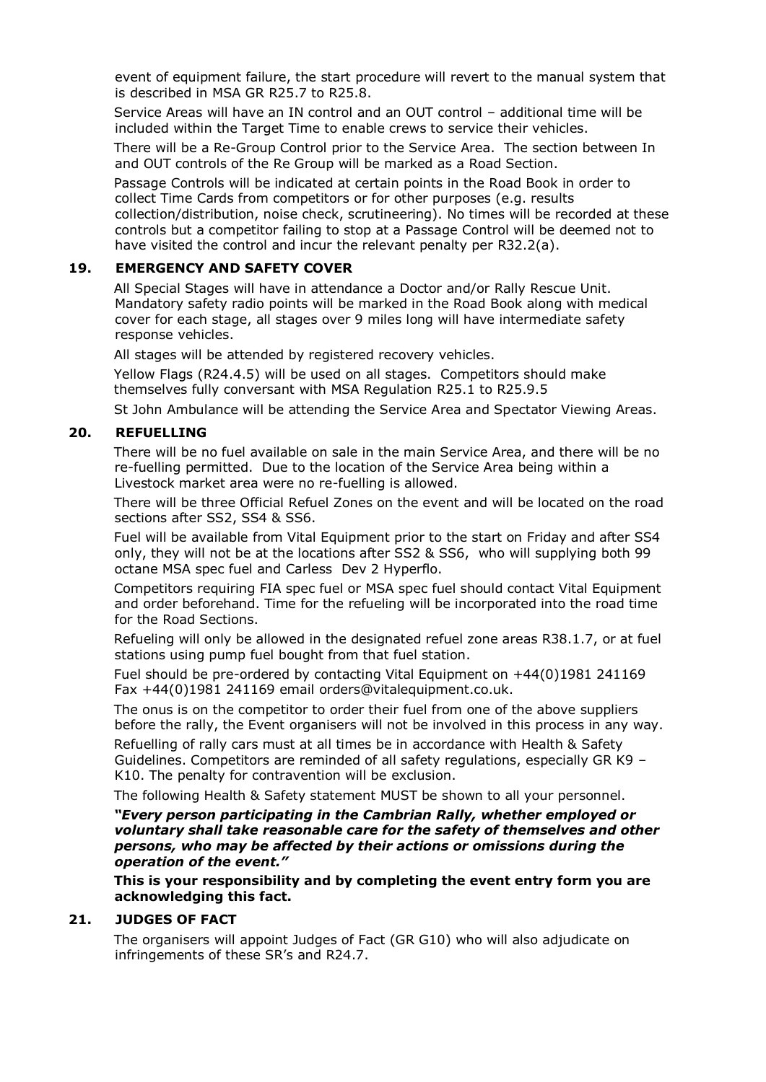event of equipment failure, the start procedure will revert to the manual system that is described in MSA GR R25.7 to R25.8.

Service Areas will have an IN control and an OUT control – additional time will be included within the Target Time to enable crews to service their vehicles.

There will be a Re-Group Control prior to the Service Area. The section between In and OUT controls of the Re Group will be marked as a Road Section.

Passage Controls will be indicated at certain points in the Road Book in order to collect Time Cards from competitors or for other purposes (e.g. results collection/distribution, noise check, scrutineering). No times will be recorded at these controls but a competitor failing to stop at a Passage Control will be deemed not to have visited the control and incur the relevant penalty per R32.2(a).

## **19. EMERGENCY AND SAFETY COVER**

All Special Stages will have in attendance a Doctor and/or Rally Rescue Unit. Mandatory safety radio points will be marked in the Road Book along with medical cover for each stage, all stages over 9 miles long will have intermediate safety response vehicles.

All stages will be attended by registered recovery vehicles.

Yellow Flags (R24.4.5) will be used on all stages. Competitors should make themselves fully conversant with MSA Regulation R25.1 to R25.9.5

St John Ambulance will be attending the Service Area and Spectator Viewing Areas.

## **20. REFUELLING**

There will be no fuel available on sale in the main Service Area, and there will be no re-fuelling permitted. Due to the location of the Service Area being within a Livestock market area were no re-fuelling is allowed.

There will be three Official Refuel Zones on the event and will be located on the road sections after SS2, SS4 & SS6.

Fuel will be available from Vital Equipment prior to the start on Friday and after SS4 only, they will not be at the locations after SS2 & SS6, who will supplying both 99 octane MSA spec fuel and Carless Dev 2 Hyperflo.

Competitors requiring FIA spec fuel or MSA spec fuel should contact Vital Equipment and order beforehand. Time for the refueling will be incorporated into the road time for the Road Sections.

Refueling will only be allowed in the designated refuel zone areas R38.1.7, or at fuel stations using pump fuel bought from that fuel station.

Fuel should be pre-ordered by contacting Vital Equipment on +44(0)1981 241169 Fax +44(0)1981 241169 email [orders@vitalequipment.co.uk.](mailto:orders@vitalequipment.co.uk)

The onus is on the competitor to order their fuel from one of the above suppliers before the rally, the Event organisers will not be involved in this process in any way.

Refuelling of rally cars must at all times be in accordance with Health & Safety Guidelines. Competitors are reminded of all safety regulations, especially GR K9 – K10. The penalty for contravention will be exclusion.

The following Health & Safety statement MUST be shown to all your personnel.

*"Every person participating in the Cambrian Rally, whether employed or voluntary shall take reasonable care for the safety of themselves and other persons, who may be affected by their actions or omissions during the operation of the event."*

**This is your responsibility and by completing the event entry form you are acknowledging this fact.**

#### **21. JUDGES OF FACT**

The organisers will appoint Judges of Fact (GR G10) who will also adjudicate on infringements of these SR's and R24.7.